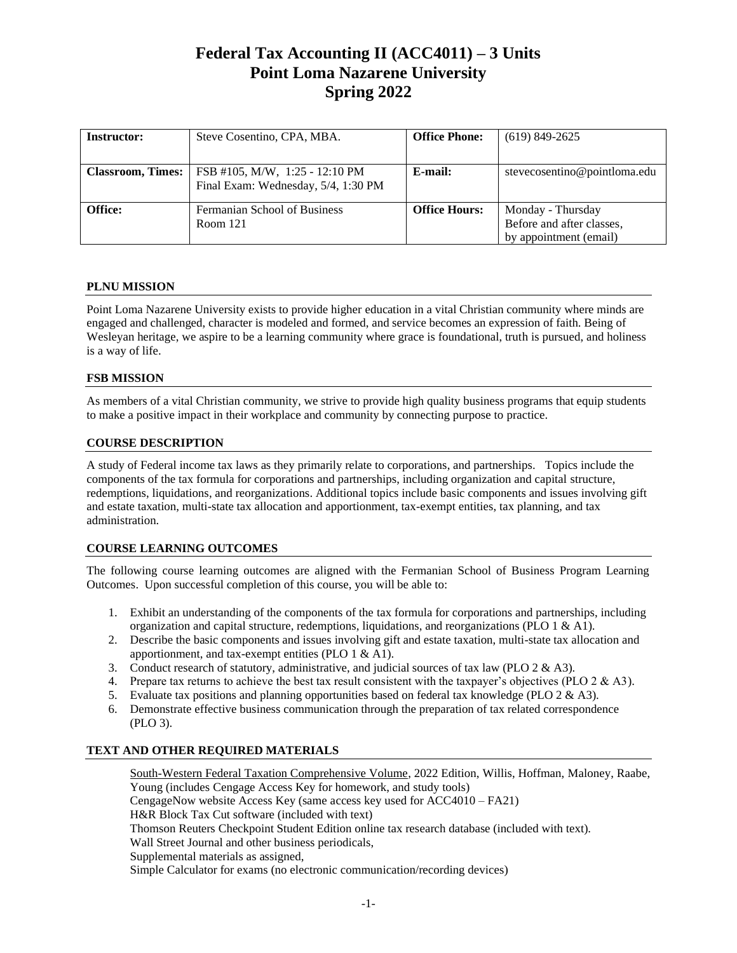# **Federal Tax Accounting II (ACC4011) – 3 Units Point Loma Nazarene University Spring 2022**

| <b>Instructor:</b>       | Steve Cosentino, CPA, MBA.                                            | <b>Office Phone:</b> | $(619)$ 849-2625                                                         |
|--------------------------|-----------------------------------------------------------------------|----------------------|--------------------------------------------------------------------------|
| <b>Classroom, Times:</b> | FSB #105, M/W, 1:25 - 12:10 PM<br>Final Exam: Wednesday, 5/4, 1:30 PM | E-mail:              | stevecosentino@pointloma.edu                                             |
| Office:                  | Fermanian School of Business<br>Room 121                              | <b>Office Hours:</b> | Monday - Thursday<br>Before and after classes,<br>by appointment (email) |

# **PLNU MISSION**

Point Loma Nazarene University exists to provide higher education in a vital Christian community where minds are engaged and challenged, character is modeled and formed, and service becomes an expression of faith. Being of Wesleyan heritage, we aspire to be a learning community where grace is foundational, truth is pursued, and holiness is a way of life.

# **FSB MISSION**

As members of a vital Christian community, we strive to provide high quality business programs that equip students to make a positive impact in their workplace and community by connecting purpose to practice.

# **COURSE DESCRIPTION**

A study of Federal income tax laws as they primarily relate to corporations, and partnerships. Topics include the components of the tax formula for corporations and partnerships, including organization and capital structure, redemptions, liquidations, and reorganizations. Additional topics include basic components and issues involving gift and estate taxation, multi-state tax allocation and apportionment, tax-exempt entities, tax planning, and tax administration.

# **COURSE LEARNING OUTCOMES**

The following course learning outcomes are aligned with the Fermanian School of Business Program Learning Outcomes. Upon successful completion of this course, you will be able to:

- 1. Exhibit an understanding of the components of the tax formula for corporations and partnerships, including organization and capital structure, redemptions, liquidations, and reorganizations (PLO 1 & A1).
- 2. Describe the basic components and issues involving gift and estate taxation, multi-state tax allocation and apportionment, and tax-exempt entities (PLO 1 & A1).
- 3. Conduct research of statutory, administrative, and judicial sources of tax law (PLO  $2 \& A3$ ).
- 4. Prepare tax returns to achieve the best tax result consistent with the taxpayer's objectives (PLO 2 & A3).
- 5. Evaluate tax positions and planning opportunities based on federal tax knowledge (PLO  $2 \& A3$ ).
- 6. Demonstrate effective business communication through the preparation of tax related correspondence (PLO 3).

# **TEXT AND OTHER REQUIRED MATERIALS**

South-Western Federal Taxation Comprehensive Volume, 2022 Edition, Willis, Hoffman, Maloney, Raabe, Young (includes Cengage Access Key for homework, and study tools) CengageNow website Access Key (same access key used for ACC4010 – FA21) H&R Block Tax Cut software (included with text) Thomson Reuters Checkpoint Student Edition online tax research database (included with text). Wall Street Journal and other business periodicals, Supplemental materials as assigned, Simple Calculator for exams (no electronic communication/recording devices)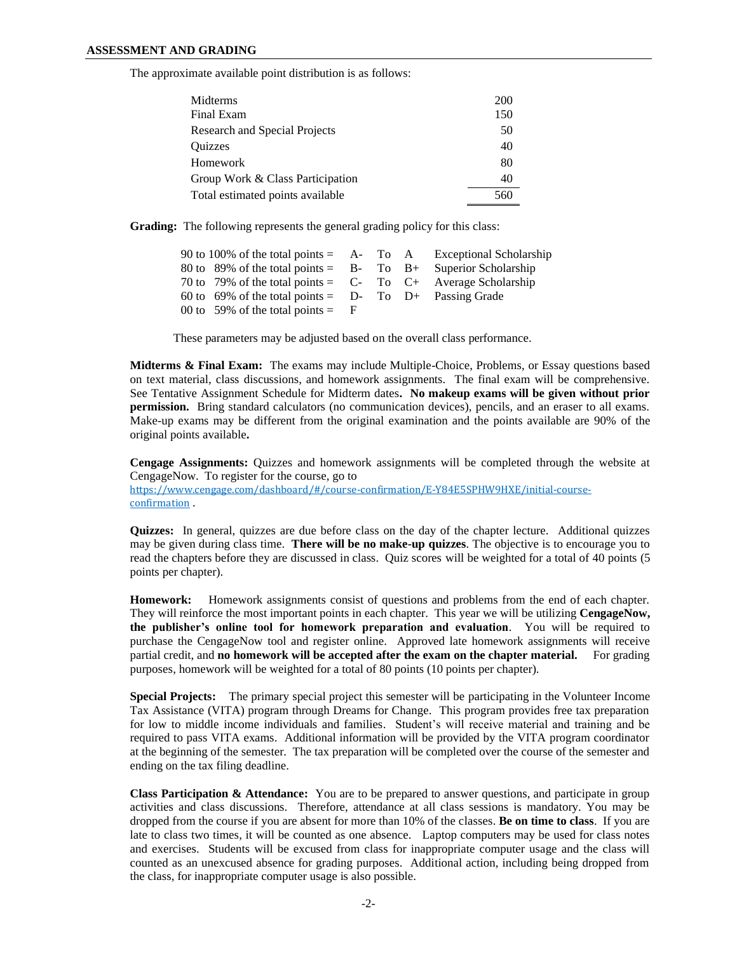The approximate available point distribution is as follows:

| Midterms                         | <b>200</b> |
|----------------------------------|------------|
| Final Exam                       | 150        |
| Research and Special Projects    | 50         |
| <b>Ouizzes</b>                   | 40         |
| Homework                         | 80         |
| Group Work & Class Participation | 40         |
| Total estimated points available | 560        |

**Grading:** The following represents the general grading policy for this class:

| 90 to 100% of the total points $=$ A- To A Exceptional Scholarship  |  |  |
|---------------------------------------------------------------------|--|--|
| 80 to 89% of the total points = $B$ - To $B$ + Superior Scholarship |  |  |
| 70 to 79% of the total points = $C$ - To $C$ + Average Scholarship  |  |  |
| 60 to 69% of the total points = $D$ - To $D$ + Passing Grade        |  |  |
| 00 to 59% of the total points $=$ F                                 |  |  |

These parameters may be adjusted based on the overall class performance.

**Midterms & Final Exam:** The exams may include Multiple-Choice, Problems, or Essay questions based on text material, class discussions, and homework assignments. The final exam will be comprehensive. See Tentative Assignment Schedule for Midterm dates**. No makeup exams will be given without prior permission.** Bring standard calculators (no communication devices), pencils, and an eraser to all exams. Make-up exams may be different from the original examination and the points available are 90% of the original points available**.** 

**Cengage Assignments:** Quizzes and homework assignments will be completed through the website at CengageNow. To register for the course, go to [https://www.cengage.com/dashboard/#/course-confirmation/E-Y84E5SPHW9HXE/initial-course](https://www.cengage.com/dashboard/#/course-confirmation/E-Y84E5SPHW9HXE/initial-course-confirmation)[confirmation](https://www.cengage.com/dashboard/#/course-confirmation/E-Y84E5SPHW9HXE/initial-course-confirmation) .

**Quizzes:** In general, quizzes are due before class on the day of the chapter lecture. Additional quizzes may be given during class time. **There will be no make-up quizzes**. The objective is to encourage you to read the chapters before they are discussed in class. Quiz scores will be weighted for a total of 40 points (5 points per chapter).

**Homework:** Homework assignments consist of questions and problems from the end of each chapter. They will reinforce the most important points in each chapter. This year we will be utilizing **CengageNow, the publisher's online tool for homework preparation and evaluation**. You will be required to purchase the CengageNow tool and register online. Approved late homework assignments will receive partial credit, and **no homework will be accepted after the exam on the chapter material.** For grading purposes, homework will be weighted for a total of 80 points (10 points per chapter).

**Special Projects:** The primary special project this semester will be participating in the Volunteer Income Tax Assistance (VITA) program through Dreams for Change. This program provides free tax preparation for low to middle income individuals and families. Student's will receive material and training and be required to pass VITA exams. Additional information will be provided by the VITA program coordinator at the beginning of the semester. The tax preparation will be completed over the course of the semester and ending on the tax filing deadline.

**Class Participation & Attendance:** You are to be prepared to answer questions, and participate in group activities and class discussions. Therefore, attendance at all class sessions is mandatory. You may be dropped from the course if you are absent for more than 10% of the classes. **Be on time to class**. If you are late to class two times, it will be counted as one absence. Laptop computers may be used for class notes and exercises. Students will be excused from class for inappropriate computer usage and the class will counted as an unexcused absence for grading purposes. Additional action, including being dropped from the class, for inappropriate computer usage is also possible.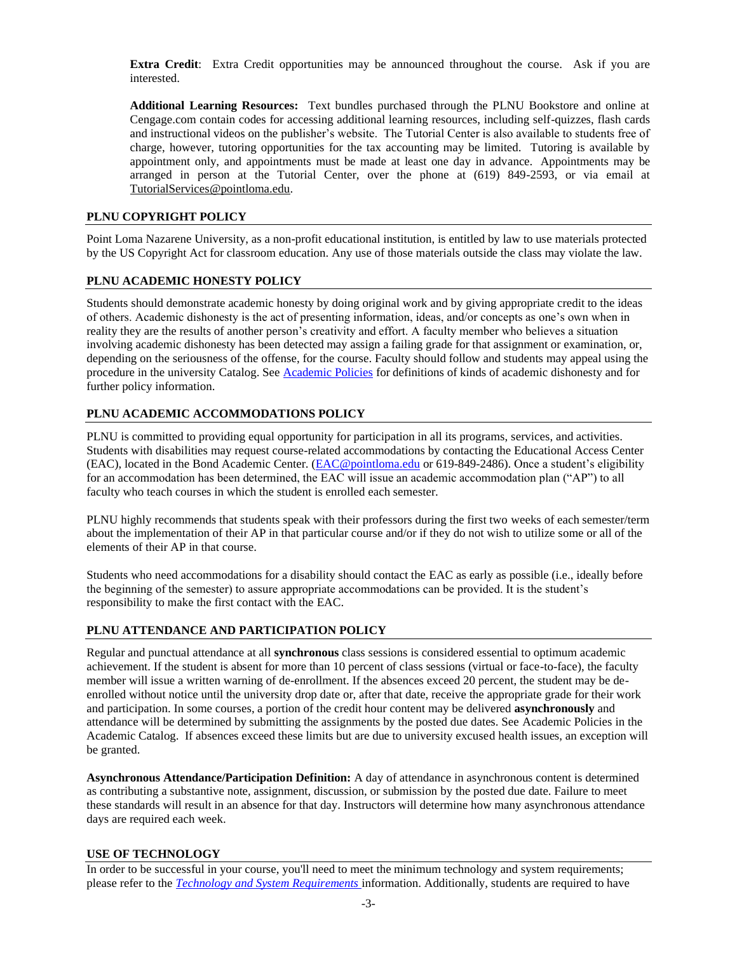**Extra Credit**: Extra Credit opportunities may be announced throughout the course. Ask if you are interested.

**Additional Learning Resources:** Text bundles purchased through the PLNU Bookstore and online at Cengage.com contain codes for accessing additional learning resources, including self-quizzes, flash cards and instructional videos on the publisher's website. The Tutorial Center is also available to students free of charge, however, tutoring opportunities for the tax accounting may be limited. Tutoring is available by appointment only, and appointments must be made at least one day in advance. Appointments may be arranged in person at the Tutorial Center, over the phone at (619) 849-2593, or via email at [TutorialServices@pointloma.edu.](mailto:TutorialServices@pointloma.edu)

#### **PLNU COPYRIGHT POLICY**

Point Loma Nazarene University, as a non-profit educational institution, is entitled by law to use materials protected by the US Copyright Act for classroom education. Any use of those materials outside the class may violate the law.

#### **PLNU ACADEMIC HONESTY POLICY**

Students should demonstrate academic honesty by doing original work and by giving appropriate credit to the ideas of others. Academic dishonesty is the act of presenting information, ideas, and/or concepts as one's own when in reality they are the results of another person's creativity and effort. A faculty member who believes a situation involving academic dishonesty has been detected may assign a failing grade for that assignment or examination, or, depending on the seriousness of the offense, for the course. Faculty should follow and students may appeal using the procedure in the university Catalog. See [Academic Policies](http://catalog.pointloma.edu/content.php?catoid=18&navoid=1278) for definitions of kinds of academic dishonesty and for further policy information.

# **PLNU ACADEMIC ACCOMMODATIONS POLICY**

PLNU is committed to providing equal opportunity for participation in all its programs, services, and activities. Students with disabilities may request course-related accommodations by contacting the Educational Access Center (EAC), located in the Bond Academic Center. [\(EAC@pointloma.edu](mailto:EAC@pointloma.edu) or 619-849-2486). Once a student's eligibility for an accommodation has been determined, the EAC will issue an academic accommodation plan ("AP") to all faculty who teach courses in which the student is enrolled each semester.

PLNU highly recommends that students speak with their professors during the first two weeks of each semester/term about the implementation of their AP in that particular course and/or if they do not wish to utilize some or all of the elements of their AP in that course.

Students who need accommodations for a disability should contact the EAC as early as possible (i.e., ideally before the beginning of the semester) to assure appropriate accommodations can be provided. It is the student's responsibility to make the first contact with the EAC.

# **PLNU ATTENDANCE AND PARTICIPATION POLICY**

Regular and punctual attendance at all **synchronous** class sessions is considered essential to optimum academic achievement. If the student is absent for more than 10 percent of class sessions (virtual or face-to-face), the faculty member will issue a written warning of de-enrollment. If the absences exceed 20 percent, the student may be deenrolled without notice until the university drop date or, after that date, receive the appropriate grade for their work and participation. In some courses, a portion of the credit hour content may be delivered **asynchronously** and attendance will be determined by submitting the assignments by the posted due dates. See Academic Policies in the Academic Catalog. If absences exceed these limits but are due to university excused health issues, an exception will be granted.

**Asynchronous Attendance/Participation Definition:** A day of attendance in asynchronous content is determined as contributing a substantive note, assignment, discussion, or submission by the posted due date. Failure to meet these standards will result in an absence for that day. Instructors will determine how many asynchronous attendance days are required each week.

#### **USE OF TECHNOLOGY**

In order to be successful in your course, you'll need to meet the minimum technology and system requirements; please refer to the *[Technology and System Requirements](https://help.pointloma.edu/TDClient/1808/Portal/KB/ArticleDet?ID=108349)* information. Additionally, students are required to have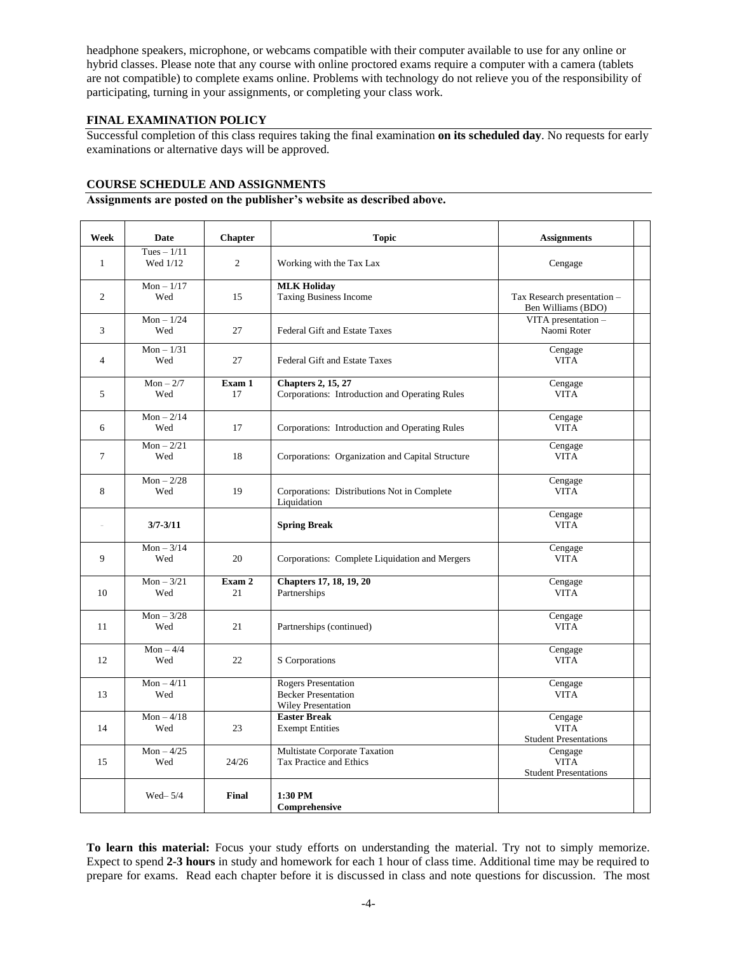headphone speakers, microphone, or webcams compatible with their computer available to use for any online or hybrid classes. Please note that any course with online proctored exams require a computer with a camera (tablets are not compatible) to complete exams online. Problems with technology do not relieve you of the responsibility of participating, turning in your assignments, or completing your class work.

# **FINAL EXAMINATION POLICY**

Successful completion of this class requires taking the final examination **on its scheduled day**. No requests for early examinations or alternative days will be approved.

# **COURSE SCHEDULE AND ASSIGNMENTS**

#### **Assignments are posted on the publisher's website as described above.**

| Week           | <b>Date</b>              | <b>Chapter</b> | <b>Topic</b>                                                                          | <b>Assignments</b>                                     |
|----------------|--------------------------|----------------|---------------------------------------------------------------------------------------|--------------------------------------------------------|
| $\mathbf{1}$   | Tues $-1/11$<br>Wed 1/12 | 2              | Working with the Tax Lax                                                              | Cengage                                                |
| $\overline{2}$ | $Mon - 1/17$<br>Wed      | 15             | <b>MLK Holiday</b><br><b>Taxing Business Income</b>                                   | Tax Research presentation -<br>Ben Williams (BDO)      |
| 3              | $Mon - 1/24$<br>Wed      | 27             | Federal Gift and Estate Taxes                                                         | VITA presentation -<br>Naomi Roter                     |
| $\overline{4}$ | $Mon - 1/31$<br>Wed      | 27             | <b>Federal Gift and Estate Taxes</b>                                                  | Cengage<br><b>VITA</b>                                 |
| 5              | $Mon - 2/7$<br>Wed       | Exam 1<br>17   | <b>Chapters 2, 15, 27</b><br>Corporations: Introduction and Operating Rules           | Cengage<br><b>VITA</b>                                 |
| 6              | $Mon - 2/14$<br>Wed      | 17             | Corporations: Introduction and Operating Rules                                        | Cengage<br><b>VITA</b>                                 |
| $\tau$         | $Mon - 2/21$<br>Wed      | 18             | Corporations: Organization and Capital Structure                                      | Cengage<br><b>VITA</b>                                 |
| 8              | $Mon - 2/28$<br>Wed      | 19             | Corporations: Distributions Not in Complete<br>Liquidation                            | Cengage<br><b>VITA</b>                                 |
| i.             | $3/7 - 3/11$             |                | <b>Spring Break</b>                                                                   | Cengage<br><b>VITA</b>                                 |
| 9              | $Mon - 3/14$<br>Wed      | 20             | Corporations: Complete Liquidation and Mergers                                        | Cengage<br><b>VITA</b>                                 |
| 10             | $Mon - 3/21$<br>Wed      | Exam 2<br>21   | <b>Chapters 17, 18, 19, 20</b><br>Partnerships                                        | Cengage<br><b>VITA</b>                                 |
| 11             | $Mon - 3/28$<br>Wed      | 21             | Partnerships (continued)                                                              | Cengage<br><b>VITA</b>                                 |
| 12             | $Mon - 4/4$<br>Wed       | 22             | S Corporations                                                                        | Cengage<br><b>VITA</b>                                 |
| 13             | $Mon - 4/11$<br>Wed      |                | <b>Rogers Presentation</b><br><b>Becker Presentation</b><br><b>Wiley Presentation</b> | Cengage<br><b>VITA</b>                                 |
| 14             | $Mon - 4/18$<br>Wed      | 23             | <b>Easter Break</b><br><b>Exempt Entities</b>                                         | Cengage<br><b>VITA</b><br><b>Student Presentations</b> |
| 15             | $Mon - 4/25$<br>Wed      | 24/26          | Multistate Corporate Taxation<br>Tax Practice and Ethics                              | Cengage<br><b>VITA</b><br><b>Student Presentations</b> |
|                | Wed $-5/4$               | Final          | 1:30 PM<br>Comprehensive                                                              |                                                        |

**To learn this material:** Focus your study efforts on understanding the material. Try not to simply memorize. Expect to spend **2-3 hours** in study and homework for each 1 hour of class time. Additional time may be required to prepare for exams. Read each chapter before it is discussed in class and note questions for discussion. The most